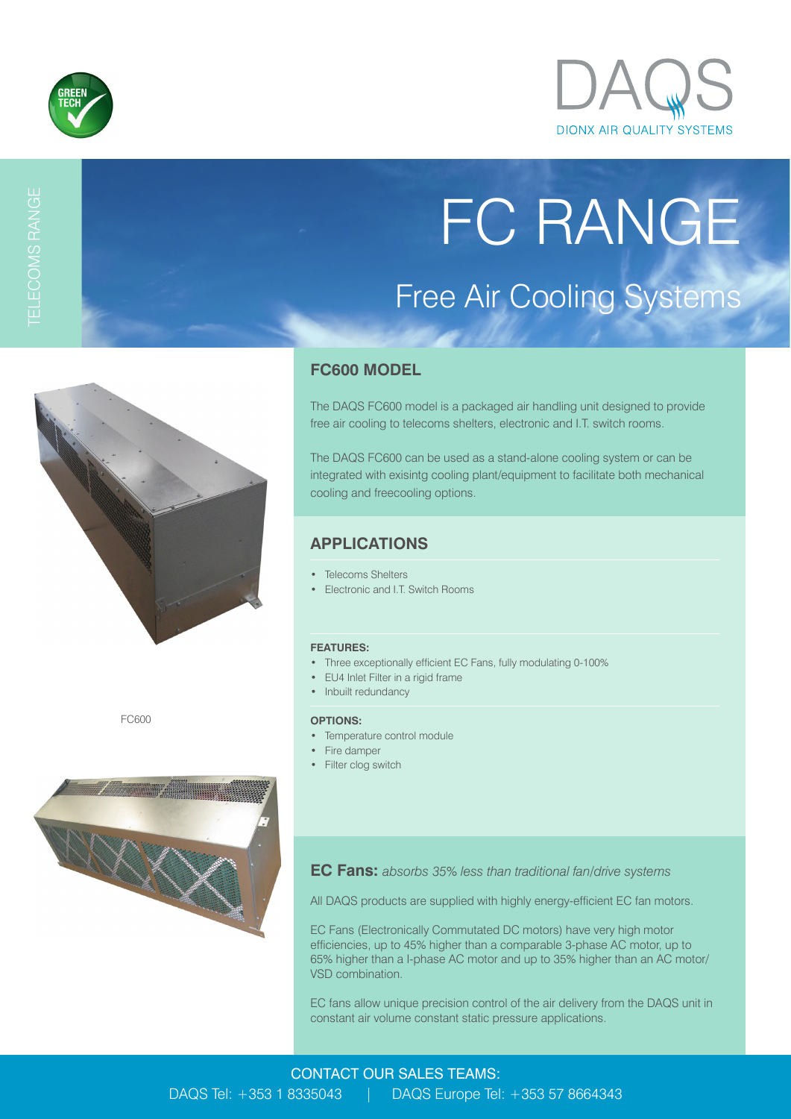



FC RANGE

Free Air Cooling Systems

# TELECOMS RANGE



FC600



## **FC600 MODEL**

The DAQS FC600 model is a packaged air handling unit designed to provide free air cooling to telecoms shelters, electronic and I.T. switch rooms.

The DAQS FC600 can be used as a stand-alone cooling system or can be integrated with exisintg cooling plant/equipment to facilitate both mechanical cooling and freecooling options.

# **APPLICATIONS**

- Telecoms Shelters
- Electronic and I.T. Switch Rooms

#### **FEATURES:**

- Three exceptionally efficient EC Fans, fully modulating 0-100%
- EU4 Inlet Filter in a rigid frame
- Inbuilt redundancy

#### **OPTIONS:**

- Temperature control module
- Fire damper
- Filter clog switch

**EC Fans:** *absorbs 35% less than traditional fan/drive systems*

All DAQS products are supplied with highly energy-efficient EC fan motors.

EC Fans (Electronically Commutated DC motors) have very high motor efficiencies, up to 45% higher than a comparable 3-phase AC motor, up to 65% higher than a I-phase AC motor and up to 35% higher than an AC motor/ VSD combination.

EC fans allow unique precision control of the air delivery from the DAQS unit in constant air volume constant static pressure applications.